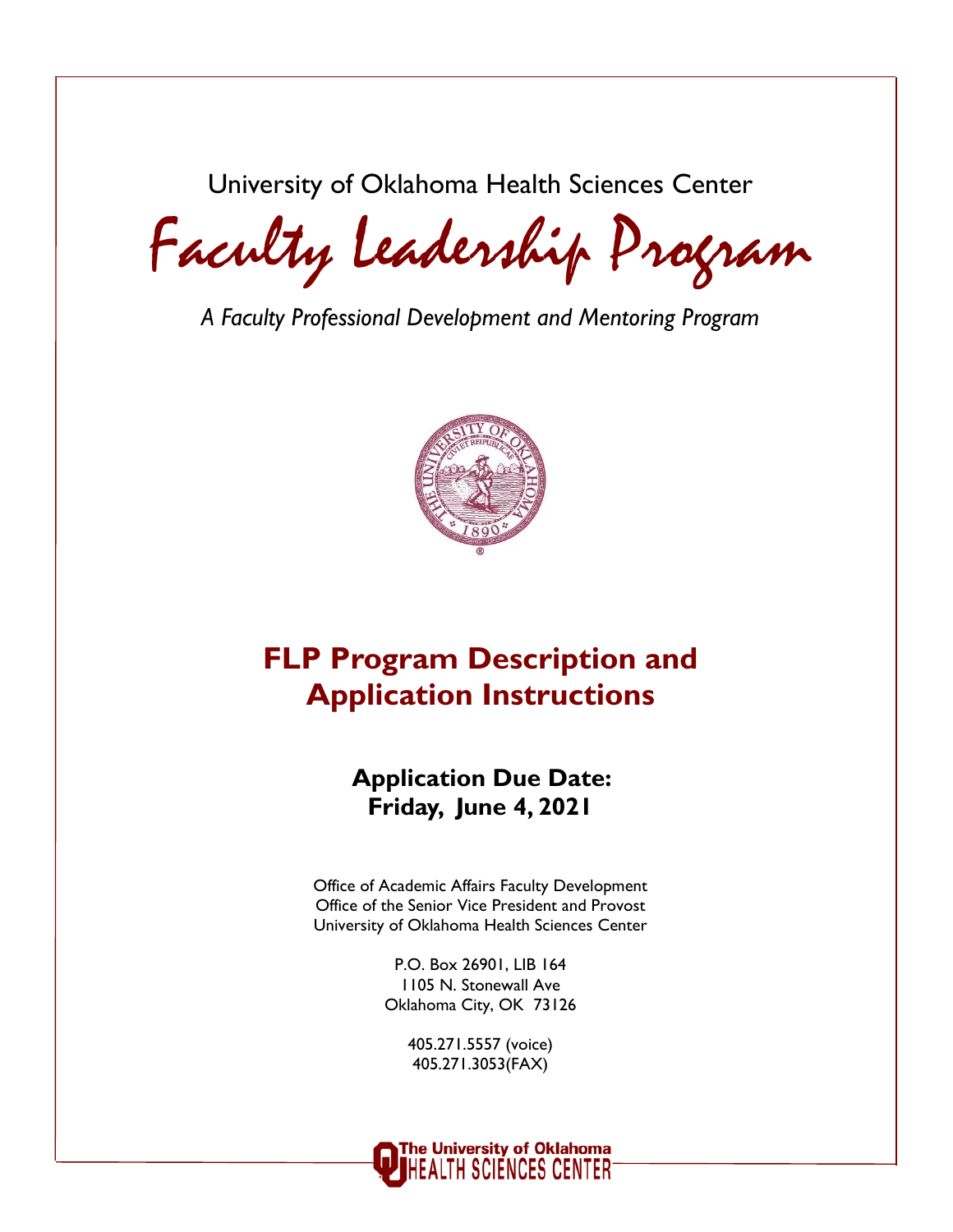University of Oklahoma Health Sciences Center

Faculty Leadership Program

*A Faculty Professional Development and Mentoring Program*



# **FLP Program Description and Application Instructions**

# **Application Due Date: Friday, June 4, 2021**

Office of Academic Affairs Faculty Development Office of the Senior Vice President and Provost University of Oklahoma Health Sciences Center

> P.O. Box 26901, LIB 164 1105 N. Stonewall Ave Oklahoma City, OK 73126

> > 405.271.5557 (voice) 405.271.3053(FAX)

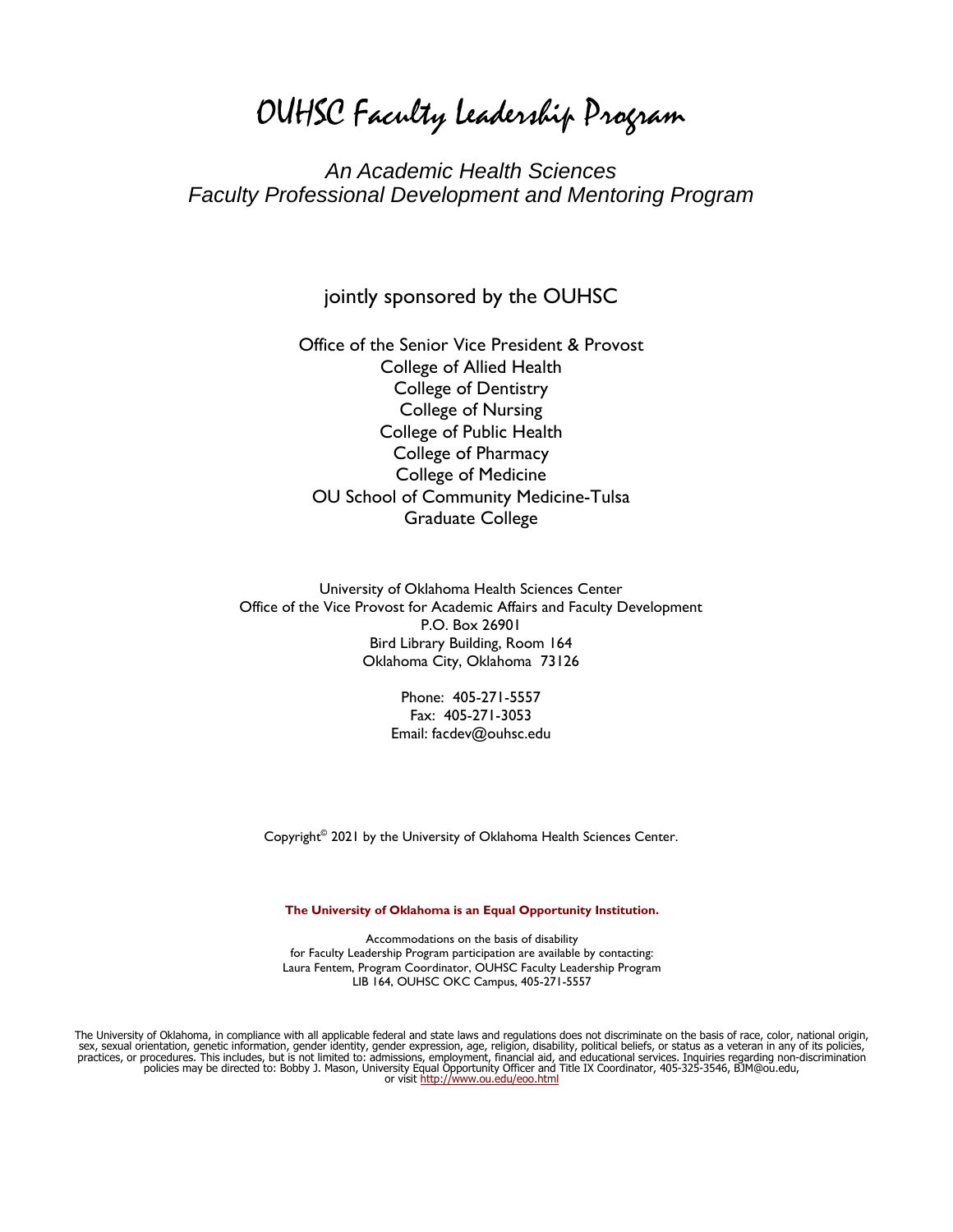### *An Academic Health Sciences Faculty Professional Development and Mentoring Program*

### jointly sponsored by the OUHSC

Office of the Senior Vice President & Provost College of Allied Health College of Dentistry College of Nursing College of Public Health College of Pharmacy College of Medicine OU School of Community Medicine-Tulsa Graduate College

University of Oklahoma Health Sciences Center Office of the Vice Provost for Academic Affairs and Faculty Development P.O. Box 26901 Bird Library Building, Room 164 Oklahoma City, Oklahoma 73126

> Phone: 405-271-5557 Fax: 405-271-3053 Email: facdev@ouhsc.edu

Copyright© 2021 by the University of Oklahoma Health Sciences Center.

#### **The University of Oklahoma is an Equal Opportunity Institution.**

Accommodations on the basis of disability for Faculty Leadership Program participation are available by contacting: Laura Fentem, Program Coordinator, OUHSC Faculty Leadership Program LIB 164, OUHSC OKC Campus, 405-271-5557

The University of Oklahoma, in compliance with all applicable federal and state laws and regulations does not discriminate on the basis of race, color, national origin, sex, sexual orientation, genetic information, gender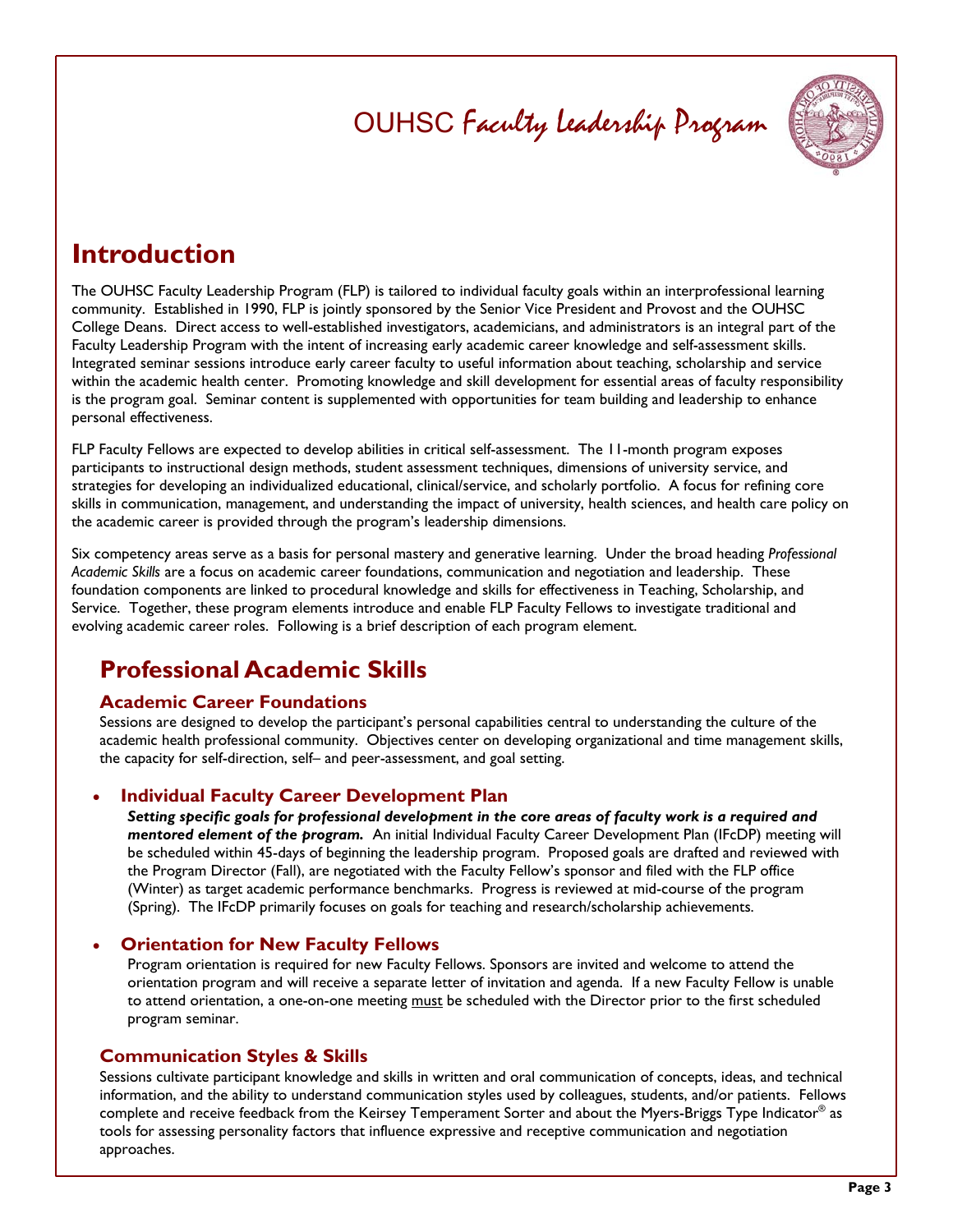

# **Introduction**

The OUHSC Faculty Leadership Program (FLP) is tailored to individual faculty goals within an interprofessional learning community. Established in 1990, FLP is jointly sponsored by the Senior Vice President and Provost and the OUHSC College Deans. Direct access to well-established investigators, academicians, and administrators is an integral part of the Faculty Leadership Program with the intent of increasing early academic career knowledge and self-assessment skills. Integrated seminar sessions introduce early career faculty to useful information about teaching, scholarship and service within the academic health center. Promoting knowledge and skill development for essential areas of faculty responsibility is the program goal. Seminar content is supplemented with opportunities for team building and leadership to enhance personal effectiveness.

FLP Faculty Fellows are expected to develop abilities in critical self-assessment. The 11-month program exposes participants to instructional design methods, student assessment techniques, dimensions of university service, and strategies for developing an individualized educational, clinical/service, and scholarly portfolio. A focus for refining core skills in communication, management, and understanding the impact of university, health sciences, and health care policy on the academic career is provided through the program's leadership dimensions.

Six competency areas serve as a basis for personal mastery and generative learning. Under the broad heading *Professional Academic Skills* are a focus on academic career foundations, communication and negotiation and leadership. These foundation components are linked to procedural knowledge and skills for effectiveness in Teaching, Scholarship, and Service. Together, these program elements introduce and enable FLP Faculty Fellows to investigate traditional and evolving academic career roles. Following is a brief description of each program element.

## **Professional Academic Skills**

### **Academic Career Foundations**

Sessions are designed to develop the participant's personal capabilities central to understanding the culture of the academic health professional community. Objectives center on developing organizational and time management skills, the capacity for self-direction, self– and peer-assessment, and goal setting.

### **Individual Faculty Career Development Plan**

*Setting specific goals for professional development in the core areas of faculty work is a required and mentored element of the program.* An initial Individual Faculty Career Development Plan (IFcDP) meeting will be scheduled within 45-days of beginning the leadership program. Proposed goals are drafted and reviewed with the Program Director (Fall), are negotiated with the Faculty Fellow's sponsor and filed with the FLP office (Winter) as target academic performance benchmarks. Progress is reviewed at mid-course of the program (Spring). The IFcDP primarily focuses on goals for teaching and research/scholarship achievements.

#### **Orientation for New Faculty Fellows**

Program orientation is required for new Faculty Fellows. Sponsors are invited and welcome to attend the orientation program and will receive a separate letter of invitation and agenda. If a new Faculty Fellow is unable to attend orientation, a one-on-one meeting must be scheduled with the Director prior to the first scheduled program seminar.

### **Communication Styles & Skills**

Sessions cultivate participant knowledge and skills in written and oral communication of concepts, ideas, and technical information, and the ability to understand communication styles used by colleagues, students, and/or patients. Fellows complete and receive feedback from the Keirsey Temperament Sorter and about the Myers-Briggs Type Indicator® as tools for assessing personality factors that influence expressive and receptive communication and negotiation approaches.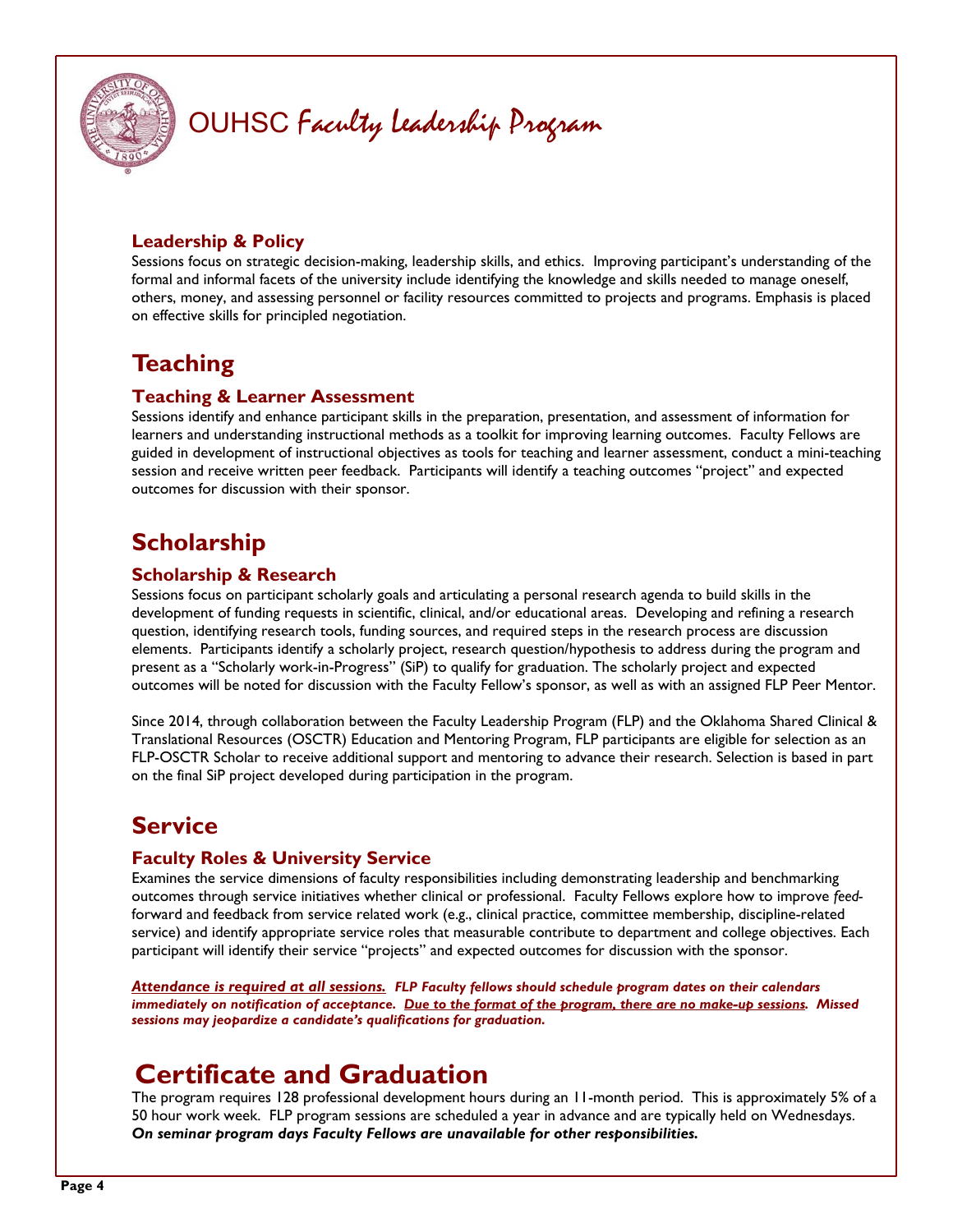

### **Leadership & Policy**

Sessions focus on strategic decision-making, leadership skills, and ethics. Improving participant's understanding of the formal and informal facets of the university include identifying the knowledge and skills needed to manage oneself, others, money, and assessing personnel or facility resources committed to projects and programs. Emphasis is placed on effective skills for principled negotiation.

## **Teaching**

### **Teaching & Learner Assessment**

Sessions identify and enhance participant skills in the preparation, presentation, and assessment of information for learners and understanding instructional methods as a toolkit for improving learning outcomes. Faculty Fellows are guided in development of instructional objectives as tools for teaching and learner assessment, conduct a mini-teaching session and receive written peer feedback. Participants will identify a teaching outcomes "project" and expected outcomes for discussion with their sponsor.

# **Scholarship**

### **Scholarship & Research**

Sessions focus on participant scholarly goals and articulating a personal research agenda to build skills in the development of funding requests in scientific, clinical, and/or educational areas. Developing and refining a research question, identifying research tools, funding sources, and required steps in the research process are discussion elements. Participants identify a scholarly project, research question/hypothesis to address during the program and present as a "Scholarly work-in-Progress" (SiP) to qualify for graduation. The scholarly project and expected outcomes will be noted for discussion with the Faculty Fellow's sponsor, as well as with an assigned FLP Peer Mentor.

Since 2014, through collaboration between the Faculty Leadership Program (FLP) and the Oklahoma Shared Clinical & Translational Resources (OSCTR) Education and Mentoring Program, FLP participants are eligible for selection as an FLP-OSCTR Scholar to receive additional support and mentoring to advance their research. Selection is based in part on the final SiP project developed during participation in the program.

## **Service**

### **Faculty Roles & University Service**

Examines the service dimensions of faculty responsibilities including demonstrating leadership and benchmarking outcomes through service initiatives whether clinical or professional. Faculty Fellows explore how to improve *feed*forward and feedback from service related work (e.g., clinical practice, committee membership, discipline-related service) and identify appropriate service roles that measurable contribute to department and college objectives. Each participant will identify their service "projects" and expected outcomes for discussion with the sponsor.

*Attendance is required at all sessions. FLP Faculty fellows should schedule program dates on their calendars immediately on notification of acceptance. Due to the format of the program, there are no make-up sessions. Missed sessions may jeopardize a candidate's qualifications for graduation.* 

# **Certificate and Graduation**

The program requires 128 professional development hours during an 11-month period. This is approximately 5% of a 50 hour work week. FLP program sessions are scheduled a year in advance and are typically held on Wednesdays. *On seminar program days Faculty Fellows are unavailable for other responsibilities.*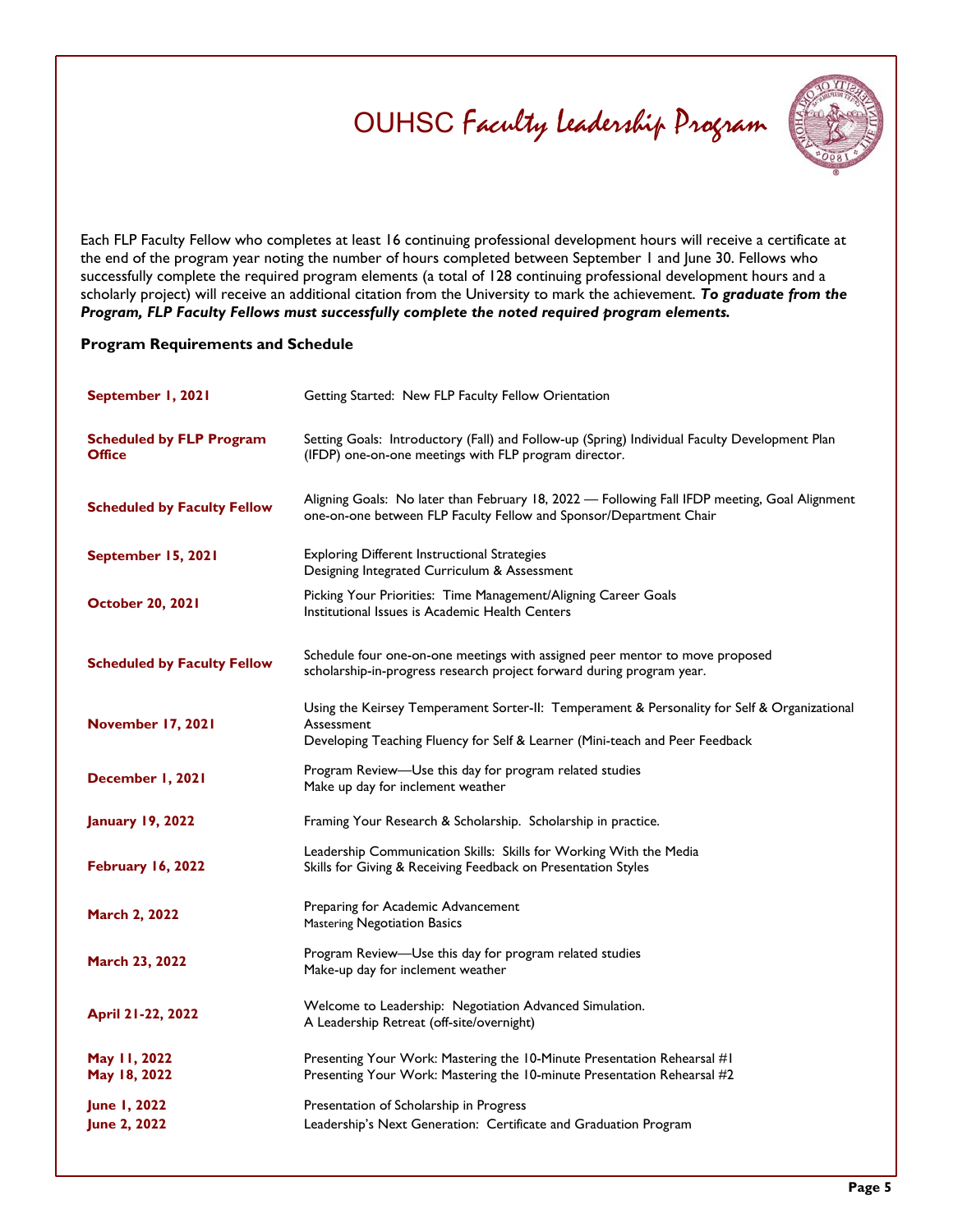

Each FLP Faculty Fellow who completes at least 16 continuing professional development hours will receive a certificate at the end of the program year noting the number of hours completed between September 1 and June 30. Fellows who successfully complete the required program elements (a total of 128 continuing professional development hours and a scholarly project) will receive an additional citation from the University to mark the achievement. *To graduate from the Program, FLP Faculty Fellows must successfully complete the noted required program elements.*

#### **Program Requirements and Schedule**

| September 1, 2021                                | Getting Started: New FLP Faculty Fellow Orientation                                                                                                                                        |
|--------------------------------------------------|--------------------------------------------------------------------------------------------------------------------------------------------------------------------------------------------|
| <b>Scheduled by FLP Program</b><br><b>Office</b> | Setting Goals: Introductory (Fall) and Follow-up (Spring) Individual Faculty Development Plan<br>(IFDP) one-on-one meetings with FLP program director.                                     |
| <b>Scheduled by Faculty Fellow</b>               | Aligning Goals: No later than February 18, 2022 - Following Fall IFDP meeting, Goal Alignment<br>one-on-one between FLP Faculty Fellow and Sponsor/Department Chair                        |
| September 15, 2021                               | <b>Exploring Different Instructional Strategies</b><br>Designing Integrated Curriculum & Assessment                                                                                        |
| <b>October 20, 2021</b>                          | Picking Your Priorities: Time Management/Aligning Career Goals<br>Institutional Issues is Academic Health Centers                                                                          |
| <b>Scheduled by Faculty Fellow</b>               | Schedule four one-on-one meetings with assigned peer mentor to move proposed<br>scholarship-in-progress research project forward during program year.                                      |
| <b>November 17, 2021</b>                         | Using the Keirsey Temperament Sorter-II: Temperament & Personality for Self & Organizational<br>Assessment<br>Developing Teaching Fluency for Self & Learner (Mini-teach and Peer Feedback |
| December 1, 2021                                 | Program Review-Use this day for program related studies<br>Make up day for inclement weather                                                                                               |
| <b>January 19, 2022</b>                          | Framing Your Research & Scholarship. Scholarship in practice.                                                                                                                              |
| February 16, 2022                                | Leadership Communication Skills: Skills for Working With the Media<br>Skills for Giving & Receiving Feedback on Presentation Styles                                                        |
| <b>March 2, 2022</b>                             | Preparing for Academic Advancement<br>Mastering Negotiation Basics                                                                                                                         |
| March 23, 2022                                   | Program Review-Use this day for program related studies<br>Make-up day for inclement weather                                                                                               |
| April 21-22, 2022                                | Welcome to Leadership: Negotiation Advanced Simulation.<br>A Leadership Retreat (off-site/overnight)                                                                                       |
| May 11, 2022<br>May 18, 2022                     | Presenting Your Work: Mastering the 10-Minute Presentation Rehearsal #1<br>Presenting Your Work: Mastering the 10-minute Presentation Rehearsal #2                                         |
| June 1, 2022<br><b>June 2, 2022</b>              | Presentation of Scholarship in Progress<br>Leadership's Next Generation: Certificate and Graduation Program                                                                                |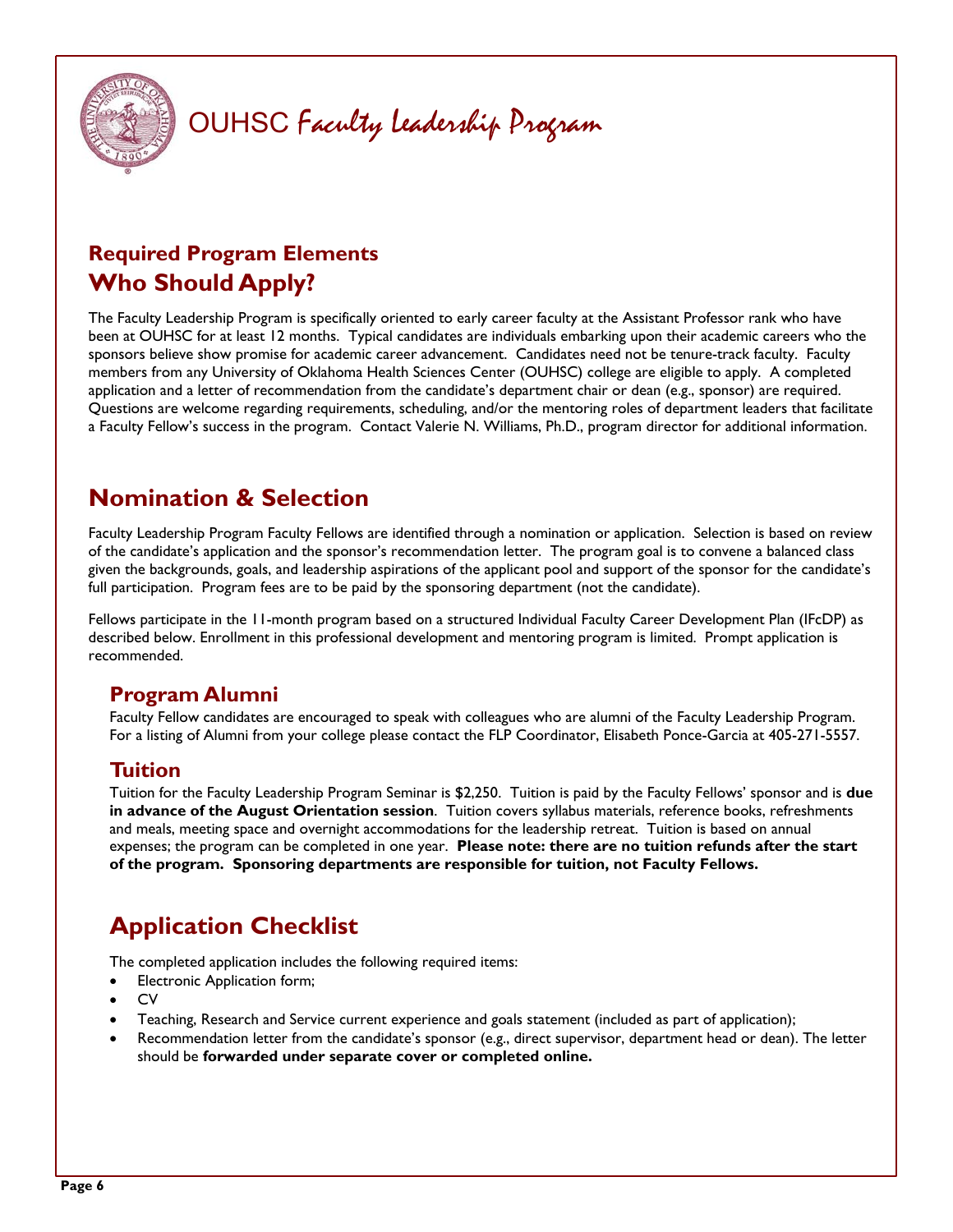

## **Required Program Elements Who Should Apply?**

The Faculty Leadership Program is specifically oriented to early career faculty at the Assistant Professor rank who have been at OUHSC for at least 12 months. Typical candidates are individuals embarking upon their academic careers who the sponsors believe show promise for academic career advancement. Candidates need not be tenure-track faculty. Faculty members from any University of Oklahoma Health Sciences Center (OUHSC) college are eligible to apply. A completed application and a letter of recommendation from the candidate's department chair or dean (e.g., sponsor) are required. Questions are welcome regarding requirements, scheduling, and/or the mentoring roles of department leaders that facilitate a Faculty Fellow's success in the program. Contact Valerie N. Williams, Ph.D., program director for additional information.

## **Nomination & Selection**

Faculty Leadership Program Faculty Fellows are identified through a nomination or application. Selection is based on review of the candidate's application and the sponsor's recommendation letter. The program goal is to convene a balanced class given the backgrounds, goals, and leadership aspirations of the applicant pool and support of the sponsor for the candidate's full participation. Program fees are to be paid by the sponsoring department (not the candidate).

Fellows participate in the 11-month program based on a structured Individual Faculty Career Development Plan (IFcDP) as described below. Enrollment in this professional development and mentoring program is limited. Prompt application is recommended.

## **Program Alumni**

Faculty Fellow candidates are encouraged to speak with colleagues who are alumni of the Faculty Leadership Program. For a listing of Alumni from your college please contact the FLP Coordinator, Elisabeth Ponce-Garcia at 405-271-5557.

### **Tuition**

Tuition for the Faculty Leadership Program Seminar is \$2,250. Tuition is paid by the Faculty Fellows' sponsor and is **due in advance of the August Orientation session**. Tuition covers syllabus materials, reference books, refreshments and meals, meeting space and overnight accommodations for the leadership retreat. Tuition is based on annual expenses; the program can be completed in one year. **Please note: there are no tuition refunds after the start of the program. Sponsoring departments are responsible for tuition, not Faculty Fellows.**

# **Application Checklist**

The completed application includes the following required items:

- Electronic Application form;
- **CV**
- Teaching, Research and Service current experience and goals statement (included as part of application);
- Recommendation letter from the candidate's sponsor (e.g., direct supervisor, department head or dean). The letter should be **forwarded under separate cover or completed online.**